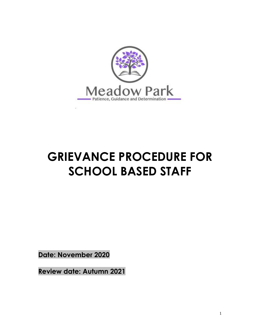

# **GRIEVANCE PROCEDURE FOR SCHOOL BASED STAFF**

**Date: November 2020**

**Review date: Autumn 2021**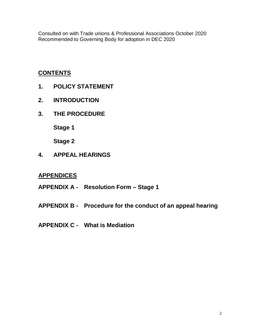Consulted on with Trade unions & Professional Associations October 2020 Recommended to Governing Body for adoption in DEC 2020

# **CONTENTS**

- **1. POLICY STATEMENT**
- **2. INTRODUCTION**
- **3. THE PROCEDURE**

**Stage 1**

**Stage 2**

**4. APPEAL HEARINGS**

# **APPENDICES**

- **APPENDIX A - Resolution Form – Stage 1**
- **APPENDIX B - Procedure for the conduct of an appeal hearing**
- **APPENDIX C - What is Mediation**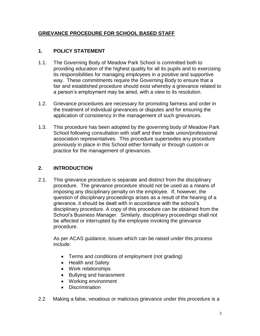# **GRIEVANCE PROCEDURE FOR SCHOOL BASED STAFF**

# **1. POLICY STATEMENT**

- 1.1. The Governing Body of Meadow Park School is committed both to providing education of the highest quality for all its pupils and to exercising its responsibilities for managing employees in a positive and supportive way. These commitments require the Governing Body to ensure that a fair and established procedure should exist whereby a grievance related to a person's employment may be aired, with a view to its resolution.
- 1.2. Grievance procedures are necessary for promoting fairness and order in the treatment of individual grievances or disputes and for ensuring the application of consistency in the management of such grievances.
- 1.3. This procedure has been adopted by the governing body of Meadow Park School following consultation with staff and their trade union/professional association representatives. This procedure supersedes any procedure previously in place in this School either formally or through custom or practice for the management of grievances.

# **2. INTRODUCTION**

2.1. This grievance procedure is separate and distinct from the disciplinary procedure. The grievance procedure should not be used as a means of imposing any disciplinary penalty on the employee. If, however, the question of disciplinary proceedings arises as a result of the hearing of a grievance, it should be dealt with in accordance with the school's disciplinary procedure. A copy of this procedure can be obtained from the School's Business Manager. Similarly, disciplinary proceedings shall not be affected or interrupted by the employee invoking the grievance procedure.

As per ACAS guidance, issues which can be raised under this process include:

- Terms and conditions of employment (not grading)
- Health and Safety
- Work relationships
- Bullying and harassment
- Working environment
- Discrimination
- 2.2 Making a false, vexatious or malicious grievance under this procedure is a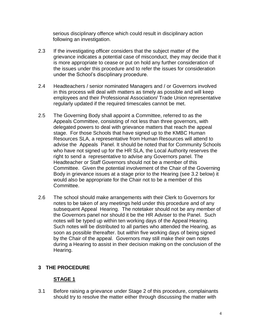serious disciplinary offence which could result in disciplinary action following an investigation.

- 2.3 If the investigating officer considers that the subject matter of the grievance indicates a potential case of misconduct, they may decide that it is more appropriate to cease or put on hold any further consideration of the issues under this procedure and to refer the issues for consideration under the School's disciplinary procedure.
- 2.4 Headteachers / senior nominated Managers and / or Governors involved in this process will deal with matters as timely as possible and will keep employees and their Professional Association/ Trade Union representative regularly updated if the required timescales cannot be met.
- 2.5 The Governing Body shall appoint a Committee, referred to as the Appeals Committee, consisting of not less than three governors, with delegated powers to deal with grievance matters that reach the appeal stage. For those Schools that have signed up to the KMBC Human Resources SLA, a representative from Human Resources will attend to advise the Appeals Panel. It should be noted that for Community Schools who have not signed up for the HR SLA, the Local Authority reserves the right to send a representative to advise any Governors panel. The Headteacher or Staff Governors should not be a member of this Committee. Given the potential involvement of the Chair of the Governing Body in grievance issues at a stage prior to the Hearing (see 3.2 below) it would also be appropriate for the Chair not to be a member of this Committee.
- 2.6 The school should make arrangements with their Clerk to Governors for notes to be taken of any meetings held under this procedure and of any subsequent Appeal Hearing. The notetaker should not be any member of the Governors panel nor should it be the HR Adviser to the Panel. Such notes will be typed up within ten working days of the Appeal Hearing. Such notes will be distributed to all parties who attended the Hearing, as soon as possible thereafter. but within five working days of being signed by the Chair of the appeal. Governors may still make their own notes during a Hearing to assist in their decision making on the conclusion of the Hearing.

# **3 THE PROCEDURE**

# **STAGE 1**

3.1 Before raising a grievance under Stage 2 of this procedure, complainants should try to resolve the matter either through discussing the matter with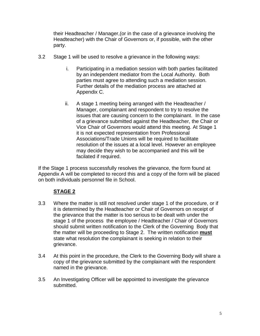their Headteacher / Manager,(or in the case of a grievance involving the Headteacher) with the Chair of Governors or, if possible, with the other party.

- 3.2 Stage 1 will be used to resolve a grievance in the following ways:
	- i. Participating in a mediation session with both parties facilitated by an independent mediator from the Local Authority. Both parties must agree to attending such a mediation session. Further details of the mediation process are attached at Appendix C.
	- ii. A stage 1 meeting being arranged with the Headteacher / Manager, complainant and respondent to try to resolve the issues that are causing concern to the complainant. In the case of a grievance submitted against the Headteacher, the Chair or Vice Chair of Governors would attend this meeting. At Stage 1 it is not expected representation from Professional Associations/Trade Unions will be required to facilitate resolution of the issues at a local level. However an employee may decide they wish to be accompanied and this will be facilated if required.

If the Stage 1 process successfully resolves the grievance, the form found at Appendix A will be completed to record this and a copy of the form will be placed on both individuals personnel file in School.

# **STAGE 2**

- 3.3 Where the matter is still not resolved under stage 1 of the procedure, or if it is determined by the Headteacher or Chair of Governors on receipt of the grievance that the matter is too serious to be dealt with under the stage 1 of the process the employee / Headteacher / Chair of Governors should submit written notification to the Clerk of the Governing Body that the matter will be proceeding to Stage 2. The written notification **must** state what resolution the complainant is seeking in relation to their grievance.
- 3.4 At this point in the procedure, the Clerk to the Governing Body will share a copy of the grievance submitted by the complainant with the respondent named in the grievance.
- 3.5 An Investigating Officer will be appointed to investigate the grievance submitted.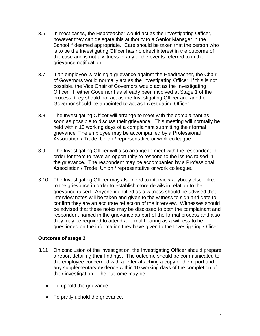- 3.6 In most cases, the Headteacher would act as the Investigating Officer, however they can delegate this authority to a Senior Manager in the School if deemed appropriate. Care should be taken that the person who is to be the Investigating Officer has no direct interest in the outcome of the case and is not a witness to any of the events referred to in the grievance notification.
- 3.7 If an employee is raising a grievance against the Headteacher, the Chair of Governors would normally act as the Investigating Officer. If this is not possible, the Vice Chair of Governors would act as the Investigating Officer. If either Governor has already been involved at Stage 1 of the process, they should not act as the Investigating Officer and another Governor should be appointed to act as Investigating Officer.
- 3.8 The Investigating Officer will arrange to meet with the complainant as soon as possible to discuss their grievance. This meeting will normally be held within 15 working days of a complainant submitting their formal grievance. The employee may be accompanied by a Professional Association / Trade Union / representative or work colleague.
- 3.9 The Investigating Officer will also arrange to meet with the respondent in order for them to have an opportunity to respond to the issues raised in the grievance. The respondent may be accompanied by a Professional Association / Trade Union / representative or work colleague.
- 3.10 The Investigating Officer may also need to interview anybody else linked to the grievance in order to establish more details in relation to the grievance raised. Anyone identified as a witness should be advised that interview notes will be taken and given to the witness to sign and date to confirm they are an accurate reflection of the interview. Witnesses should be advised that these notes may be disclosed to both the complainant and respondent named in the grievance as part of the formal process and also they may be required to attend a formal hearing as a witness to be questioned on the information they have given to the Investigating Officer.

# **Outcome of stage 2**

- 3.11 On conclusion of the investigation, the Investigating Officer should prepare a report detailing their findings. The outcome should be communicated to the employee concerned with a letter attaching a copy of the report and any supplementary evidence within 10 working days of the completion of their investigation. The outcome may be:
	- To uphold the grievance.
	- To partly uphold the grievance.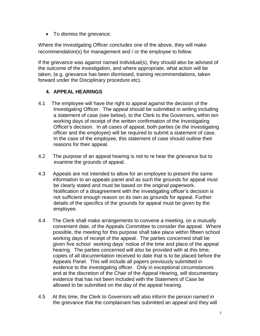• To dismiss the grievance.

Where the Investigating Officer concludes one of the above, they will make recommendation(s) for management and / or the employee to follow.

If the grievance was against named individual(s), they should also be advised of the outcome of the investigation, and where appropriate, what action will be taken, (e.g. grievance has been dismissed, training recommendations, taken forward under the Disciplinary procedure etc).

# **4. APPEAL HEARINGS**

- 4.1 The employee will have the right to appeal against the decision of the Investigating Officer. The appeal should be submitted in writing including a statement of case (see below), to the Clerk to the Governors, within ten working days of receipt of the written confirmation of the Investigating Officer's decision. In all cases of appeal, both parties (ie the investigating officer and the employee) will be required to submit a statement of case. In the case of the employee, this statement of case should outline their reasons for their appeal.
- 4.2 The purpose of an appeal hearing is not to re hear the grievance but to examine the grounds of appeal.
- 4.3 Appeals are not intended to allow for an employee to present the same information to an appeals panel and as such the grounds for appeal must be clearly stated and must be based on the original paperwork. Notification of a disagreement with the investigating officer's decision is not sufficient enough reason on its own as grounds for appeal. Further details of the specifics of the grounds for appeal must be given by the employee.
- 4.4 The Clerk shall make arrangements to convene a meeting, on a mutually convenient date, of the Appeals Committee to consider the appeal. Where possible, the meeting for this purpose shall take place within fifteen school working days of receipt of the appeal. The parties concerned shall be given five school working days' notice of the time and place of the appeal hearing. The parties concerned will also be provided with at this time, copies of all documentation received to date that is to be placed before the Appeals Panel. This will include all papers previously submitted in evidence to the investigating officer. Only in exceptional circumstances and at the discretion of the Chair of the Appeal Hearing, will documentary evidence that has not been included with the Statement of Case be allowed to be submitted on the day of the appeal hearing.
- 4.5 At this time, the Clerk to Governors will also inform the person named in the grievance that the complainant has submitted an appeal and they will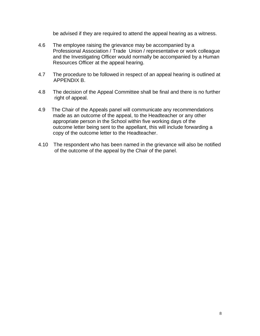be advised if they are required to attend the appeal hearing as a witness.

- 4.6 The employee raising the grievance may be accompanied by a Professional Association / Trade Union / representative or work colleague and the Investigating Officer would normally be accompanied by a Human Resources Officer at the appeal hearing.
- 4.7 The procedure to be followed in respect of an appeal hearing is outlined at APPENDIX B.
- 4.8 The decision of the Appeal Committee shall be final and there is no further right of appeal.
- 4.9 The Chair of the Appeals panel will communicate any recommendations made as an outcome of the appeal, to the Headteacher or any other appropriate person in the School within five working days of the outcome letter being sent to the appellant, this will include forwarding a copy of the outcome letter to the Headteacher.
- 4.10 The respondent who has been named in the grievance will also be notified of the outcome of the appeal by the Chair of the panel.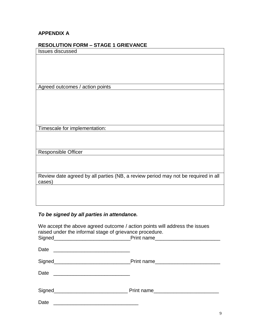# **APPENDIX A**

| RESULUTIUN FURM – STAGE T GRIEVANCE                                               |
|-----------------------------------------------------------------------------------|
| <b>Issues discussed</b>                                                           |
|                                                                                   |
|                                                                                   |
|                                                                                   |
|                                                                                   |
|                                                                                   |
| Agreed outcomes / action points                                                   |
|                                                                                   |
|                                                                                   |
|                                                                                   |
|                                                                                   |
|                                                                                   |
|                                                                                   |
| Timescale for implementation:                                                     |
|                                                                                   |
|                                                                                   |
|                                                                                   |
| Responsible Officer                                                               |
|                                                                                   |
|                                                                                   |
|                                                                                   |
| Review date agreed by all parties (NB, a review period may not be required in all |
| cases)                                                                            |
|                                                                                   |
|                                                                                   |
|                                                                                   |
|                                                                                   |

# *To be signed by all parties in attendance.*

| We accept the above agreed outcome / action points will address the issues<br>raised under the informal stage of grievance procedure. |  |
|---------------------------------------------------------------------------------------------------------------------------------------|--|
|                                                                                                                                       |  |
|                                                                                                                                       |  |
|                                                                                                                                       |  |
|                                                                                                                                       |  |
|                                                                                                                                       |  |
| Date                                                                                                                                  |  |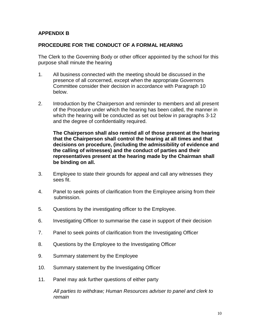# **APPENDIX B**

## **PROCEDURE FOR THE CONDUCT OF A FORMAL HEARING**

The Clerk to the Governing Body or other officer appointed by the school for this purpose shall minute the hearing

- 1. All business connected with the meeting should be discussed in the presence of all concerned, except when the appropriate Governors Committee consider their decision in accordance with Paragraph 10 below.
- 2. Introduction by the Chairperson and reminder to members and all present of the Procedure under which the hearing has been called, the manner in which the hearing will be conducted as set out below in paragraphs 3-12 and the degree of confidentiality required.

**The Chairperson shall also remind all of those present at the hearing that the Chairperson shall control the hearing at all times and that decisions on procedure, (including the admissibility of evidence and the calling of witnesses) and the conduct of parties and their representatives present at the hearing made by the Chairman shall be binding on all.**

- 3. Employee to state their grounds for appeal and call any witnesses they sees fit.
- 4. Panel to seek points of clarification from the Employee arising from their submission.
- 5. Questions by the investigating officer to the Employee.
- 6. Investigating Officer to summarise the case in support of their decision
- 7. Panel to seek points of clarification from the Investigating Officer
- 8. Questions by the Employee to the Investigating Officer
- 9. Summary statement by the Employee
- 10. Summary statement by the Investigating Officer
- 11. Panel may ask further questions of either party

*All parties to withdraw; Human Resources adviser to panel and clerk to remain*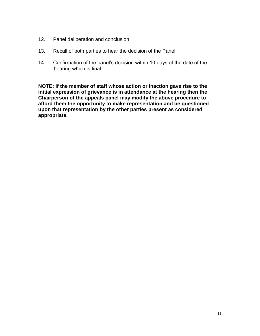- 12. Panel deliberation and conclusion
- 13. Recall of both parties to hear the decision of the Panel
- 14. Confirmation of the panel's decision within 10 days of the date of the hearing which is final.

**NOTE: If the member of staff whose action or inaction gave rise to the initial expression of grievance is in attendance at the hearing then the Chairperson of the appeals panel may modify the above procedure to afford them the opportunity to make representation and be questioned upon that representation by the other parties present as considered appropriate.**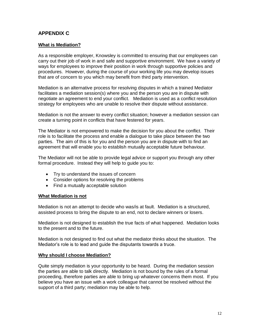## **APPENDIX C**

#### **What is Mediation?**

As a responsible employer, Knowsley is committed to ensuring that our employees can carry out their job of work in and safe and supportive environment. We have a variety of ways for employees to improve their position in work through supportive policies and procedures. However, during the course of your working life you may develop issues that are of concern to you which may benefit from third party intervention.

Mediation is an alternative process for resolving disputes in which a trained Mediator facilitates a mediation session(s) where you and the person you are in dispute with negotiate an agreement to end your conflict. Mediation is used as a conflict resolution strategy for employees who are unable to resolve their dispute without assistance.

Mediation is not the answer to every conflict situation; however a mediation session can create a turning point in conflicts that have festered for years.

The Mediator is not empowered to make the decision for you about the conflict. Their role is to facilitate the process and enable a dialogue to take place between the two parties. The aim of this is for you and the person you are in dispute with to find an agreement that will enable you to establish mutually acceptable future behaviour.

The Mediator will not be able to provide legal advice or support you through any other formal procedure. Instead they will help to guide you to:

- Try to understand the issues of concern
- Consider options for resolving the problems
- Find a mutually acceptable solution

#### **What Mediation is not**

Mediation is not an attempt to decide who was/is at fault. Mediation is a structured, assisted process to bring the dispute to an end, not to declare winners or losers.

Mediation is not designed to establish the true facts of what happened. Mediation looks to the present and to the future.

Mediation is not designed to find out what the mediator thinks about the situation. The Mediator's role is to lead and guide the disputants towards a truce.

#### **Why should I choose Mediation?**

Quite simply mediation is your opportunity to be heard. During the mediation session the parties are able to talk directly. Mediation is not bound by the rules of a formal proceeding, therefore parties are able to bring up whatever concerns them most. If you believe you have an issue with a work colleague that cannot be resolved without the support of a third party; mediation may be able to help.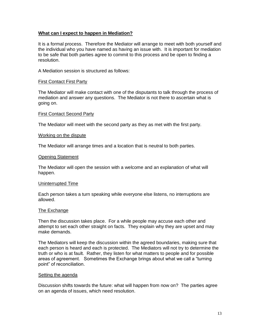#### **What can I expect to happen in Mediation?**

It is a formal process. Therefore the Mediator will arrange to meet with both yourself and the individual who you have named as having an issue with. It is important for mediation to be safe that both parties agree to commit to this process and be open to finding a resolution.

A Mediation session is structured as follows:

#### First Contact First Party

The Mediator will make contact with one of the disputants to talk through the process of mediation and answer any questions. The Mediator is not there to ascertain what is going on.

#### First Contact Second Party

The Mediator will meet with the second party as they as met with the first party.

#### Working on the dispute

The Mediator will arrange times and a location that is neutral to both parties.

#### Opening Statement

The Mediator will open the session with a welcome and an explanation of what will happen.

#### Uninterrupted Time

Each person takes a turn speaking while everyone else listens, no interruptions are allowed.

#### The Exchange

Then the discussion takes place. For a while people may accuse each other and attempt to set each other straight on facts. They explain why they are upset and may make demands.

The Mediators will keep the discussion within the agreed boundaries, making sure that each person is heard and each is protected. The Mediators will not try to determine the truth or who is at fault. Rather, they listen for what matters to people and for possible areas of agreement. Sometimes the Exchange brings about what we call a "turning point" of reconciliation.

#### Setting the agenda

Discussion shifts towards the future: what will happen from now on? The parties agree on an agenda of issues, which need resolution.